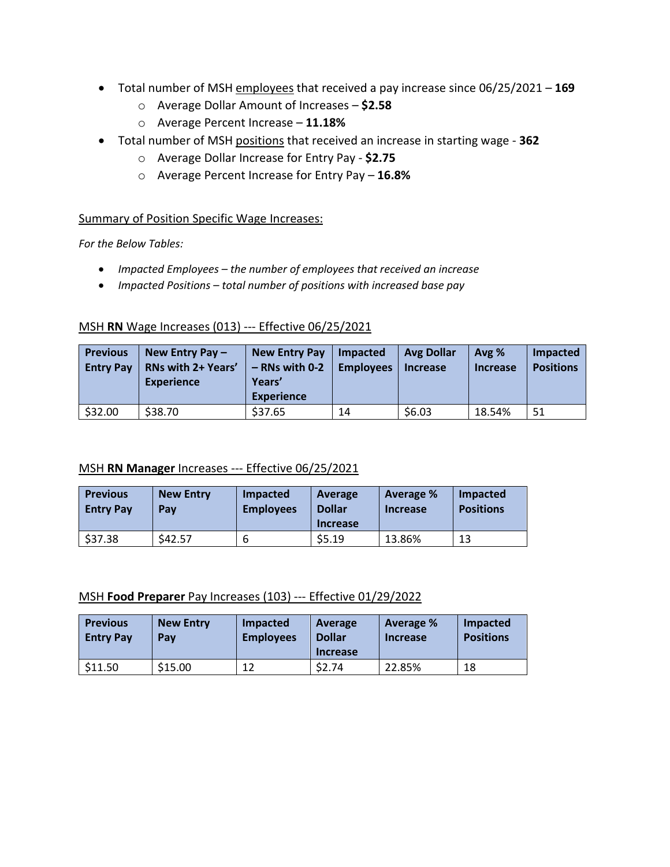- Total number of MSH employees that received a pay increase since 06/25/2021 **169**
	- o Average Dollar Amount of Increases **\$2.58**
	- o Average Percent Increase **11.18%**
- Total number of MSH positions that received an increase in starting wage **362**
	- o Average Dollar Increase for Entry Pay **\$2.75**
	- o Average Percent Increase for Entry Pay **16.8%**

#### Summary of Position Specific Wage Increases:

*For the Below Tables:*

- *Impacted Employees – the number of employees that received an increase*
- *Impacted Positions – total number of positions with increased base pay*

### MSH **RN** Wage Increases (013) --- Effective 06/25/2021

| <b>Previous</b><br><b>Entry Pay</b> | New Entry Pay $-$<br><b>RNs with 2+ Years'</b><br><b>Experience</b> | New Entry Pay<br>$-$ RNs with 0-2<br>Years'<br><b>Experience</b> | Impacted<br><b>Employees</b> | <b>Avg Dollar</b><br><b>Increase</b> | Avg %<br><b>Increase</b> | Impacted<br><b>Positions</b> |
|-------------------------------------|---------------------------------------------------------------------|------------------------------------------------------------------|------------------------------|--------------------------------------|--------------------------|------------------------------|
| \$32.00                             | \$38.70                                                             | \$37.65                                                          | 14                           | \$6.03                               | 18.54%                   | 51                           |

### MSH **RN Manager** Increases --- Effective 06/25/2021

| <b>Previous</b><br><b>Entry Pay</b> | <b>New Entry</b><br>Pav | Impacted<br><b>Employees</b> | Average<br><b>Dollar</b><br><b>Increase</b> | Average %<br>Increase | Impacted<br><b>Positions</b> |
|-------------------------------------|-------------------------|------------------------------|---------------------------------------------|-----------------------|------------------------------|
| \$37.38                             | \$42.57                 |                              | \$5.19                                      | 13.86%                | 13                           |

#### MSH **Food Preparer** Pay Increases (103) --- Effective 01/29/2022

| <b>Previous</b><br><b>Entry Pay</b> | <b>New Entry</b><br>Pav | Impacted<br><b>Employees</b> | Average<br><b>Dollar</b><br><b>Increase</b> | <b>Average %</b><br><b>Increase</b> | Impacted<br><b>Positions</b> |
|-------------------------------------|-------------------------|------------------------------|---------------------------------------------|-------------------------------------|------------------------------|
| \$11.50                             | \$15.00                 | 12                           | \$2.74                                      | 22.85%                              | 18                           |